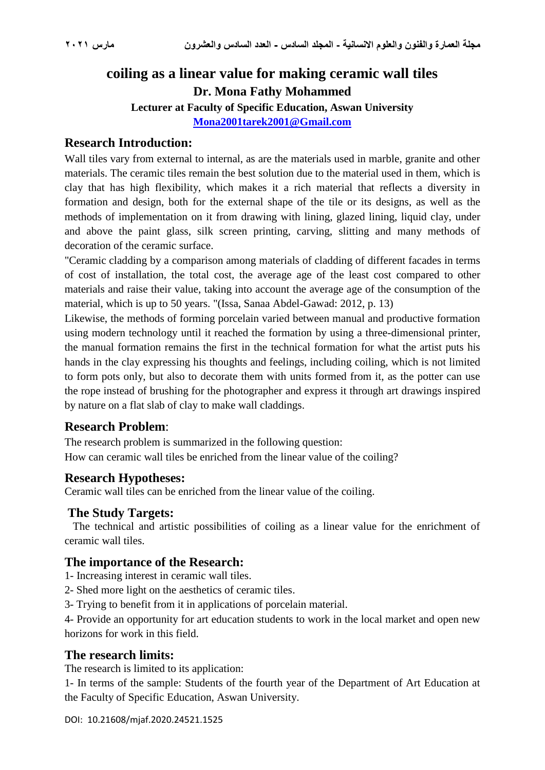# **coiling as a linear value for making ceramic wall tiles Dr. Mona Fathy Mohammed**

**Lecturer at Faculty of Specific Education, Aswan University**

**[Mona2001tarek2001@Gmail.com](mailto:Mona2001tarek2001@Gmail.com)**

### **Research Introduction:**

Wall tiles vary from external to internal, as are the materials used in marble, granite and other materials. The ceramic tiles remain the best solution due to the material used in them, which is clay that has high flexibility, which makes it a rich material that reflects a diversity in formation and design, both for the external shape of the tile or its designs, as well as the methods of implementation on it from drawing with lining, glazed lining, liquid clay, under and above the paint glass, silk screen printing, carving, slitting and many methods of decoration of the ceramic surface.

"Ceramic cladding by a comparison among materials of cladding of different facades in terms of cost of installation, the total cost, the average age of the least cost compared to other materials and raise their value, taking into account the average age of the consumption of the material, which is up to 50 years. "(Issa, Sanaa Abdel-Gawad: 2012, p. 13)

Likewise, the methods of forming porcelain varied between manual and productive formation using modern technology until it reached the formation by using a three-dimensional printer, the manual formation remains the first in the technical formation for what the artist puts his hands in the clay expressing his thoughts and feelings, including coiling, which is not limited to form pots only, but also to decorate them with units formed from it, as the potter can use the rope instead of brushing for the photographer and express it through art drawings inspired by nature on a flat slab of clay to make wall claddings.

### **Research Problem**:

The research problem is summarized in the following question: How can ceramic wall tiles be enriched from the linear value of the coiling?

### **Research Hypotheses:**

Ceramic wall tiles can be enriched from the linear value of the coiling.

#### **The Study Targets:**

The technical and artistic possibilities of coiling as a linear value for the enrichment of ceramic wall tiles.

### **The importance of the Research:**

- 1- Increasing interest in ceramic wall tiles.
- 2- Shed more light on the aesthetics of ceramic tiles.
- 3- Trying to benefit from it in applications of porcelain material.

4- Provide an opportunity for art education students to work in the local market and open new horizons for work in this field.

#### **The research limits:**

The research is limited to its application:

1- In terms of the sample: Students of the fourth year of the Department of Art Education at the Faculty of Specific Education, Aswan University.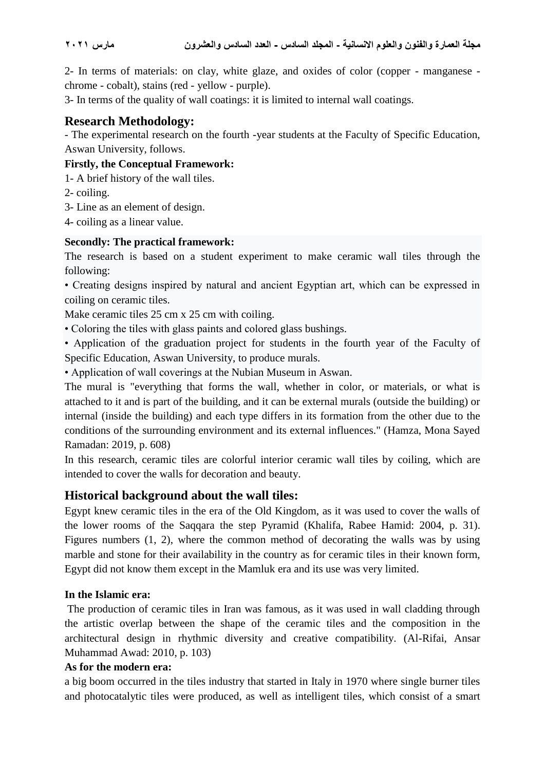2- In terms of materials: on clay, white glaze, and oxides of color (copper - manganese chrome - cobalt), stains (red - yellow - purple).

3- In terms of the quality of wall coatings: it is limited to internal wall coatings.

## **Research Methodology:**

- The experimental research on the fourth -year students at the Faculty of Specific Education, Aswan University, follows.

#### **Firstly, the Conceptual Framework:**

1- A brief history of the wall tiles.

- 2- coiling.
- 3- Line as an element of design.

4- coiling as a linear value.

#### **Secondly: The practical framework:**

The research is based on a student experiment to make ceramic wall tiles through the following:

• Creating designs inspired by natural and ancient Egyptian art, which can be expressed in coiling on ceramic tiles.

Make ceramic tiles 25 cm x 25 cm with coiling.

• Coloring the tiles with glass paints and colored glass bushings.

• Application of the graduation project for students in the fourth year of the Faculty of Specific Education, Aswan University, to produce murals.

• Application of wall coverings at the Nubian Museum in Aswan.

The mural is "everything that forms the wall, whether in color, or materials, or what is attached to it and is part of the building, and it can be external murals (outside the building) or internal (inside the building) and each type differs in its formation from the other due to the conditions of the surrounding environment and its external influences." (Hamza, Mona Sayed Ramadan: 2019, p. 608)

In this research, ceramic tiles are colorful interior ceramic wall tiles by coiling, which are intended to cover the walls for decoration and beauty.

### **Historical background about the wall tiles:**

Egypt knew ceramic tiles in the era of the Old Kingdom, as it was used to cover the walls of the lower rooms of the Saqqara the step Pyramid (Khalifa, Rabee Hamid: 2004, p. 31). Figures numbers (1, 2), where the common method of decorating the walls was by using marble and stone for their availability in the country as for ceramic tiles in their known form, Egypt did not know them except in the Mamluk era and its use was very limited.

### **In the Islamic era:**

The production of ceramic tiles in Iran was famous, as it was used in wall cladding through the artistic overlap between the shape of the ceramic tiles and the composition in the architectural design in rhythmic diversity and creative compatibility. (Al-Rifai, Ansar Muhammad Awad: 2010, p. 103)

### **As for the modern era:**

a big boom occurred in the tiles industry that started in Italy in 1970 where single burner tiles and photocatalytic tiles were produced, as well as intelligent tiles, which consist of a smart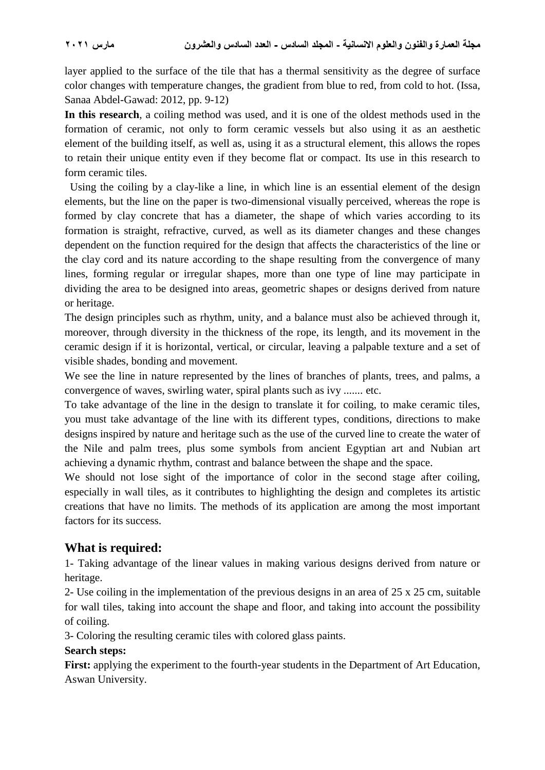layer applied to the surface of the tile that has a thermal sensitivity as the degree of surface color changes with temperature changes, the gradient from blue to red, from cold to hot. (Issa, Sanaa Abdel-Gawad: 2012, pp. 9-12)

**In this research**, a coiling method was used, and it is one of the oldest methods used in the formation of ceramic, not only to form ceramic vessels but also using it as an aesthetic element of the building itself, as well as, using it as a structural element, this allows the ropes to retain their unique entity even if they become flat or compact. Its use in this research to form ceramic tiles.

Using the coiling by a clay-like a line, in which line is an essential element of the design elements, but the line on the paper is two-dimensional visually perceived, whereas the rope is formed by clay concrete that has a diameter, the shape of which varies according to its formation is straight, refractive, curved, as well as its diameter changes and these changes dependent on the function required for the design that affects the characteristics of the line or the clay cord and its nature according to the shape resulting from the convergence of many lines, forming regular or irregular shapes, more than one type of line may participate in dividing the area to be designed into areas, geometric shapes or designs derived from nature or heritage.

The design principles such as rhythm, unity, and a balance must also be achieved through it, moreover, through diversity in the thickness of the rope, its length, and its movement in the ceramic design if it is horizontal, vertical, or circular, leaving a palpable texture and a set of visible shades, bonding and movement.

We see the line in nature represented by the lines of branches of plants, trees, and palms, a convergence of waves, swirling water, spiral plants such as ivy ....... etc.

To take advantage of the line in the design to translate it for coiling, to make ceramic tiles, you must take advantage of the line with its different types, conditions, directions to make designs inspired by nature and heritage such as the use of the curved line to create the water of the Nile and palm trees, plus some symbols from ancient Egyptian art and Nubian art achieving a dynamic rhythm, contrast and balance between the shape and the space.

We should not lose sight of the importance of color in the second stage after coiling, especially in wall tiles, as it contributes to highlighting the design and completes its artistic creations that have no limits. The methods of its application are among the most important factors for its success.

### **What is required:**

1- Taking advantage of the linear values in making various designs derived from nature or heritage.

2- Use coiling in the implementation of the previous designs in an area of 25 x 25 cm, suitable for wall tiles, taking into account the shape and floor, and taking into account the possibility of coiling.

3- Coloring the resulting ceramic tiles with colored glass paints.

### **Search steps:**

**First:** applying the experiment to the fourth-year students in the Department of Art Education, Aswan University.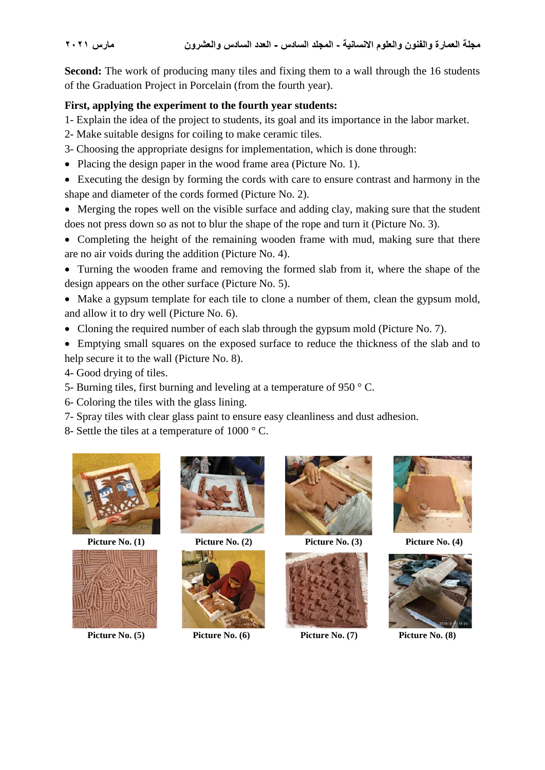**Second:** The work of producing many tiles and fixing them to a wall through the 16 students of the Graduation Project in Porcelain (from the fourth year).

### **First, applying the experiment to the fourth year students:**

1- Explain the idea of the project to students, its goal and its importance in the labor market.

- 2- Make suitable designs for coiling to make ceramic tiles.
- 3- Choosing the appropriate designs for implementation, which is done through:
- Placing the design paper in the wood frame area (Picture No. 1).
- Executing the design by forming the cords with care to ensure contrast and harmony in the shape and diameter of the cords formed (Picture No. 2).

 Merging the ropes well on the visible surface and adding clay, making sure that the student does not press down so as not to blur the shape of the rope and turn it (Picture No. 3).

• Completing the height of the remaining wooden frame with mud, making sure that there are no air voids during the addition (Picture No. 4).

- Turning the wooden frame and removing the formed slab from it, where the shape of the design appears on the other surface (Picture No. 5).
- Make a gypsum template for each tile to clone a number of them, clean the gypsum mold, and allow it to dry well (Picture No. 6).
- Cloning the required number of each slab through the gypsum mold (Picture No. 7).

 Emptying small squares on the exposed surface to reduce the thickness of the slab and to help secure it to the wall (Picture No. 8).

- 4- Good drying of tiles.
- 5- Burning tiles, first burning and leveling at a temperature of 950 ° C.
- 6- Coloring the tiles with the glass lining.
- 7- Spray tiles with clear glass paint to ensure easy cleanliness and dust adhesion.
- 8- Settle the tiles at a temperature of 1000 ° C.





Picture No. (5) **Picture No. (6)** Picture No. (7) **Picture No. (8)** Picture No. (8)







 **Picture No. (1) Picture No. (2) Picture No. (3) Picture No. (4)**





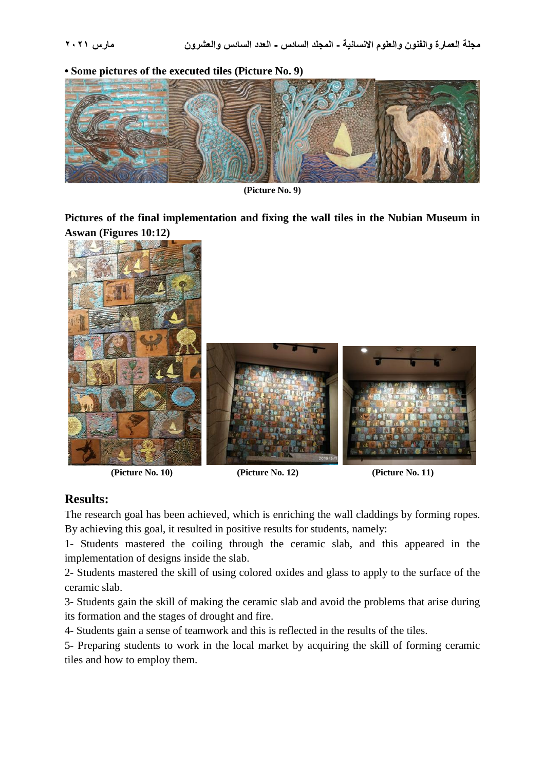**• Some pictures of the executed tiles (Picture No. 9)**





**Pictures of the final implementation and fixing the wall tiles in the Nubian Museum in Aswan (Figures 10:12)**



**(Picture No. 10) (Picture No. 12) (Picture No. 11)**

### **Results:**

The research goal has been achieved, which is enriching the wall claddings by forming ropes. By achieving this goal, it resulted in positive results for students, namely:

1- Students mastered the coiling through the ceramic slab, and this appeared in the implementation of designs inside the slab.

2- Students mastered the skill of using colored oxides and glass to apply to the surface of the ceramic slab.

3- Students gain the skill of making the ceramic slab and avoid the problems that arise during its formation and the stages of drought and fire.

4- Students gain a sense of teamwork and this is reflected in the results of the tiles.

5- Preparing students to work in the local market by acquiring the skill of forming ceramic tiles and how to employ them.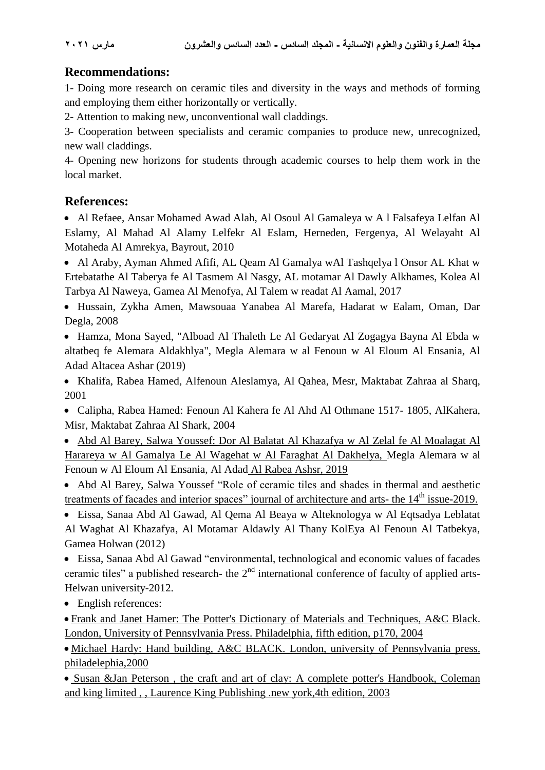# **Recommendations:**

1- Doing more research on ceramic tiles and diversity in the ways and methods of forming and employing them either horizontally or vertically.

2- Attention to making new, unconventional wall claddings.

3- Cooperation between specialists and ceramic companies to produce new, unrecognized, new wall claddings.

4- Opening new horizons for students through academic courses to help them work in the local market.

# **References:**

 Al Refaee, Ansar Mohamed Awad Alah, Al Osoul Al Gamaleya w A l Falsafeya Lelfan Al Eslamy, Al Mahad Al Alamy Lelfekr Al Eslam, Herneden, Fergenya, Al Welayaht Al Motaheda Al Amrekya, Bayrout, 2010

 Al Araby, Ayman Ahmed Afifi, AL Qeam Al Gamalya wAl Tashqelya l Onsor AL Khat w Ertebatathe Al Taberya fe Al Tasmem Al Nasgy, AL motamar Al Dawly Alkhames, Kolea Al Tarbya Al Naweya, Gamea Al Menofya, Al Talem w readat Al Aamal, 2017

 Hussain, Zykha Amen, Mawsouaa Yanabea Al Marefa, Hadarat w Ealam, Oman, Dar Degla, 2008

 Hamza, Mona Sayed, "Alboad Al Thaleth Le Al Gedaryat Al Zogagya Bayna Al Ebda w altatbeq fe Alemara Aldakhlya", Megla Alemara w al Fenoun w Al Eloum Al Ensania, Al Adad Altacea Ashar (2019)

 Khalifa, Rabea Hamed, Alfenoun Aleslamya, Al Qahea, Mesr, Maktabat Zahraa al Sharq, 2001

 Calipha, Rabea Hamed: Fenoun Al Kahera fe Al Ahd Al Othmane 1517- 1805, AlKahera, Misr, Maktabat Zahraa Al Shark, 2004

 Abd Al Barey, Salwa Youssef: Dor Al Balatat Al Khazafya w Al Zelal fe Al Moalagat Al Harareya w Al Gamalya Le Al Wagehat w Al Faraghat Al Dakhelya, Megla Alemara w al Fenoun w Al Eloum Al Ensania, Al Adad Al Rabea Ashsr, 2019

 Abd Al Barey, Salwa Youssef "Role of ceramic tiles and shades in thermal and aesthetic treatments of facades and interior spaces" journal of architecture and arts- the 14<sup>th</sup> issue-2019.

 Eissa, Sanaa Abd Al Gawad, Al Qema Al Beaya w Alteknologya w Al Eqtsadya Leblatat Al Waghat Al Khazafya, Al Motamar Aldawly Al Thany KolEya Al Fenoun Al Tatbekya, Gamea Holwan (2012)

 Eissa, Sanaa Abd Al Gawad "environmental, technological and economic values of facades ceramic tiles" a published research- the  $2<sup>nd</sup>$  international conference of faculty of applied arts-Helwan university-2012.

• English references:

 Frank and Janet Hamer: The Potter's Dictionary of Materials and Techniques, A&C Black. London, University of Pennsylvania Press. Philadelphia, fifth edition, p170, 2004

 Michael Hardy: Hand building, A&C BLACK. London, university of Pennsylvania press. philadelephia,2000

• Susan &Jan Peterson, the craft and art of clay: A complete potter's Handbook, Coleman and king limited , , [Laurence King Publishing](http://www.laurenceking.co.uk/books/bookdetails.php?isbn=1856693546) .new york,4th edition, 2003